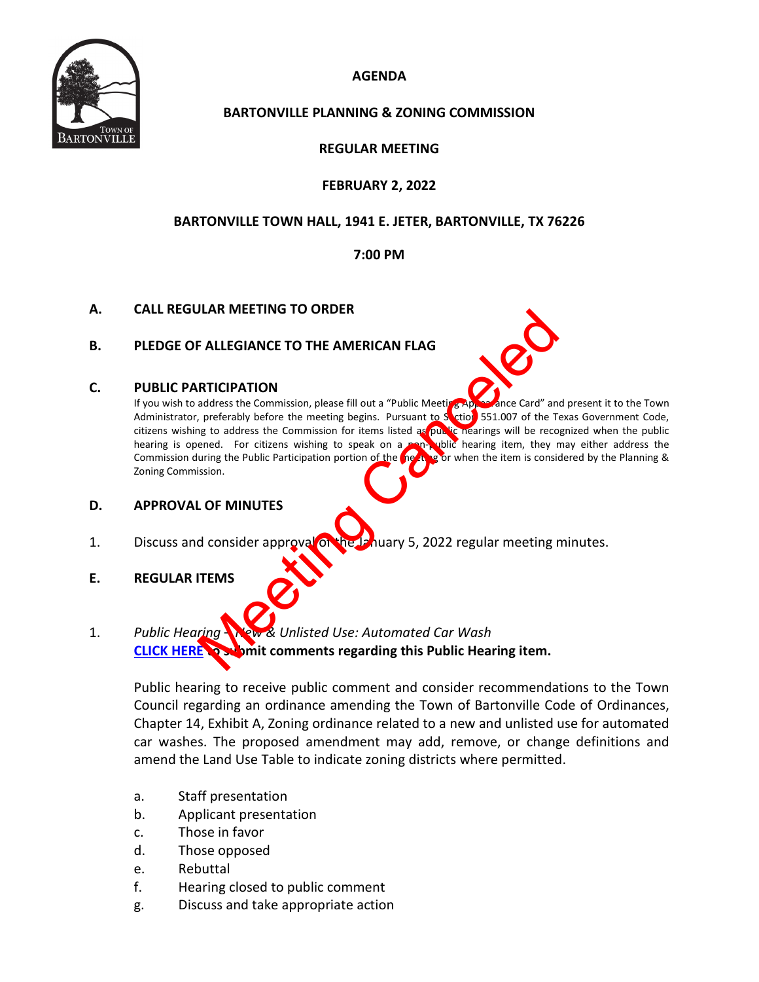

## **AGENDA**

## **BARTONVILLE PLANNING & ZONING COMMISSION**

## **REGULAR MEETING**

## **FEBRUARY 2, 2022**

## **BARTONVILLE TOWN HALL, 1941 E. JETER, BARTONVILLE, TX 76226**

#### **7:00 PM**

#### **A. CALL REGULAR MEETING TO ORDER**

#### **B. PLEDGE OF ALLEGIANCE TO THE AMERICAN FLAG**

#### **C. PUBLIC PARTICIPATION**

If you wish to address the Commission, please fill out a "Public Meeting Appearance Card" and present it to the Town Administrator, preferably before the meeting begins. Pursuant to Section 551.007 of the Texas Government Code, citizens wishing to address the Commission for items listed as public nearings will be recognized when the public hearing is opened. For citizens wishing to speak on a non-public hearing item, they may either address the Commission during the Public Participation portion of the meeting or when the item is considered by the Planning & Zoning Commission. F ALLEGIANCE TO THE AMERICAN FLAG<br>
RTICIPATION<br>
address the Commission, please fill out a "Public Meeting Appleme Card" and<br>
a preferably before the meeting begins. Pursuant to Strip 551.007 of the Tr<br>
are need. For critic

#### **D. APPROVAL OF MINUTES**

- 1. Discuss and consider approval on the January 5, 2022 regular meeting minutes.
- **E. REGULAR ITEMS**
- 1. *Public Hearing New & Unlisted Use: Automated Car Wash* **[CLICK HERE](https://tx-bartonville.civicplus.com/FormCenter/Contact-Us-3/Town-Council-Public-Participation-FormPu-50) to submit comments regarding this Public Hearing item.**

Public hearing to receive public comment and consider recommendations to the Town Council regarding an ordinance amending the Town of Bartonville Code of Ordinances, Chapter 14, Exhibit A, Zoning ordinance related to a new and unlisted use for automated car washes. The proposed amendment may add, remove, or change definitions and amend the Land Use Table to indicate zoning districts where permitted.

- a. Staff presentation
- b. Applicant presentation
- c. Those in favor
- d. Those opposed
- e. Rebuttal
- f. Hearing closed to public comment
- g. Discuss and take appropriate action